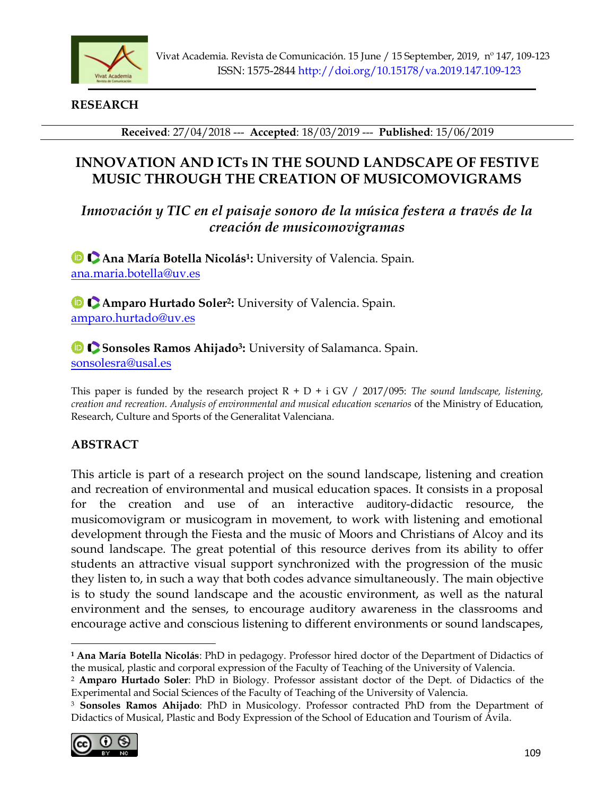

**RESEARCH**

**Received**: 27/04/2018 --- **Accepted**: 18/03/2019 --- **Published**: 15/06/2019

# **INNOVATION AND ICTs IN THE SOUND LANDSCAPE OF FESTIVE MUSIC THROUGH THE CREATION OF MUSICOMOVIGRAMS**

*Innovación y TIC en el paisaje sonoro de la música festera a través de la creación de musicomovigramas*

 **[A](http://www.researcherid.com/rid/N-1375-2014)na María Botella Nicolás<sup>1</sup> :** University of Valencia. Spain. [ana.maria.botella@uv.es](mailto:ana.maria.botella@uv.es)

 **[A](http://www.researcherid.com/rid/F-9762-2016)mparo Hurtado Soler<sup>2</sup> :** University of Valencia. Spain. [amparo.hurtado@uv.es](mailto:amparo.hurtado@uv.es)

 **[S](http://www.researcherid.com/rid/H-7089-2018)onsoles Ramos Ahijado<sup>3</sup> :** University of Salamanca. Spain. [sonsolesra@usal.es](mailto:sonsolesra@usal.es)

This paper is funded by the research project R + D + i GV / 2017/095: *The sound landscape, listening, creation and recreation. Analysis of environmental and musical education scenarios* of the Ministry of Education, Research, Culture and Sports of the Generalitat Valenciana.

# **ABSTRACT**

This article is part of a research project on the sound landscape, listening and creation and recreation of environmental and musical education spaces. It consists in a proposal for the creation and use of an interactive auditory-didactic resource, the musicomovigram or musicogram in movement, to work with listening and emotional development through the Fiesta and the music of Moors and Christians of Alcoy and its sound landscape. The great potential of this resource derives from its ability to offer students an attractive visual support synchronized with the progression of the music they listen to, in such a way that both codes advance simultaneously. The main objective is to study the sound landscape and the acoustic environment, as well as the natural environment and the senses, to encourage auditory awareness in the classrooms and encourage active and conscious listening to different environments or sound landscapes,

<sup>3</sup> **Sonsoles Ramos Ahijado**: PhD in Musicology. Professor contracted PhD from the Department of Didactics of Musical, Plastic and Body Expression of the School of Education and Tourism of Ávila.



**<sup>1</sup>Ana María Botella Nicolás**: PhD in pedagogy. Professor hired doctor of the Department of Didactics of the musical, plastic and corporal expression of the Faculty of Teaching of the University of Valencia.

<sup>2</sup> **Amparo Hurtado Soler**: PhD in Biology. Professor assistant doctor of the Dept. of Didactics of the Experimental and Social Sciences of the Faculty of Teaching of the University of Valencia.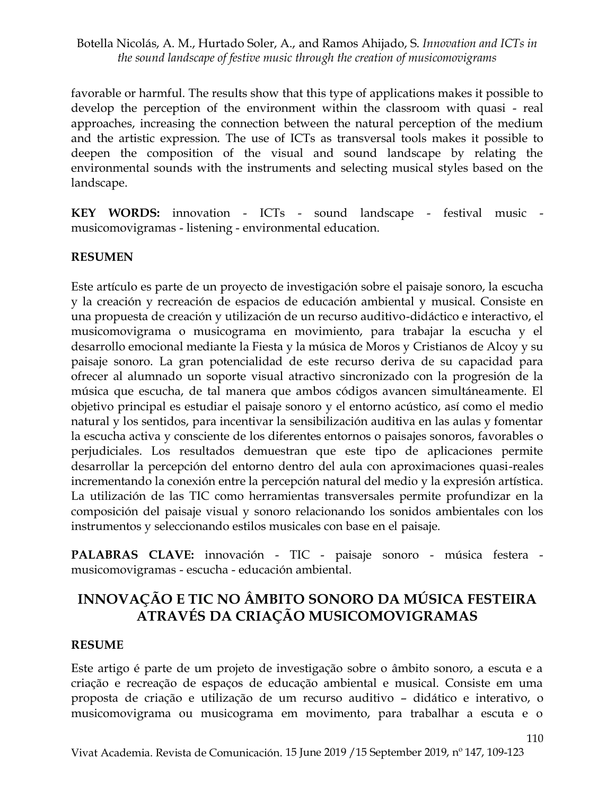favorable or harmful. The results show that this type of applications makes it possible to develop the perception of the environment within the classroom with quasi - real approaches, increasing the connection between the natural perception of the medium and the artistic expression. The use of ICTs as transversal tools makes it possible to deepen the composition of the visual and sound landscape by relating the environmental sounds with the instruments and selecting musical styles based on the landscape.

**KEY WORDS:** innovation - ICTs - sound landscape - festival music musicomovigramas - listening - environmental education.

## **RESUMEN**

Este artículo es parte de un proyecto de investigación sobre el paisaje sonoro, la escucha y la creación y recreación de espacios de educación ambiental y musical. Consiste en una propuesta de creación y utilización de un recurso auditivo-didáctico e interactivo, el musicomovigrama o musicograma en movimiento, para trabajar la escucha y el desarrollo emocional mediante la Fiesta y la música de Moros y Cristianos de Alcoy y su paisaje sonoro. La gran potencialidad de este recurso deriva de su capacidad para ofrecer al alumnado un soporte visual atractivo sincronizado con la progresión de la música que escucha, de tal manera que ambos códigos avancen simultáneamente. El objetivo principal es estudiar el paisaje sonoro y el entorno acústico, así como el medio natural y los sentidos, para incentivar la sensibilización auditiva en las aulas y fomentar la escucha activa y consciente de los diferentes entornos o paisajes sonoros, favorables o perjudiciales. Los resultados demuestran que este tipo de aplicaciones permite desarrollar la percepción del entorno dentro del aula con aproximaciones quasi-reales incrementando la conexión entre la percepción natural del medio y la expresión artística. La utilización de las TIC como herramientas transversales permite profundizar en la composición del paisaje visual y sonoro relacionando los sonidos ambientales con los instrumentos y seleccionando estilos musicales con base en el paisaje.

**PALABRAS CLAVE:** innovación - TIC - paisaje sonoro - música festera musicomovigramas - escucha - educación ambiental.

# **INNOVAÇÃO E TIC NO ÂMBITO SONORO DA MÚSICA FESTEIRA ATRAVÉS DA CRIAÇÃO MUSICOMOVIGRAMAS**

#### **RESUME**

Este artigo é parte de um projeto de investigação sobre o âmbito sonoro, a escuta e a criação e recreação de espaços de educação ambiental e musical. Consiste em uma proposta de criação e utilização de um recurso auditivo – didático e interativo, o musicomovigrama ou musicograma em movimento, para trabalhar a escuta e o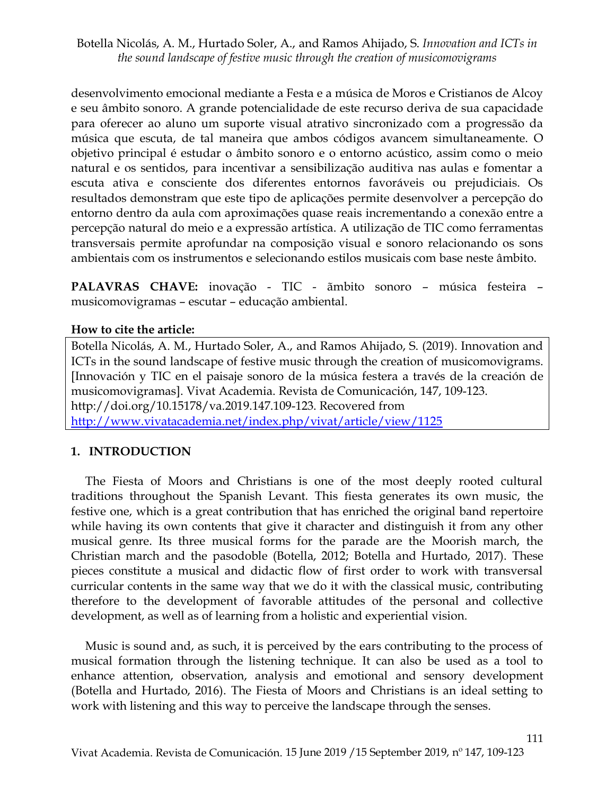desenvolvimento emocional mediante a Festa e a música de Moros e Cristianos de Alcoy e seu âmbito sonoro. A grande potencialidade de este recurso deriva de sua capacidade para oferecer ao aluno um suporte visual atrativo sincronizado com a progressão da música que escuta, de tal maneira que ambos códigos avancem simultaneamente. O objetivo principal é estudar o âmbito sonoro e o entorno acústico, assim como o meio natural e os sentidos, para incentivar a sensibilização auditiva nas aulas e fomentar a escuta ativa e consciente dos diferentes entornos favoráveis ou prejudiciais. Os resultados demonstram que este tipo de aplicações permite desenvolver a percepção do entorno dentro da aula com aproximações quase reais incrementando a conexão entre a percepção natural do meio e a expressão artística. A utilização de TIC como ferramentas transversais permite aprofundar na composição visual e sonoro relacionando os sons ambientais com os instrumentos e selecionando estilos musicais com base neste âmbito.

**PALAVRAS CHAVE:** inovação - TIC - ãmbito sonoro – música festeira – musicomovigramas – escutar – educação ambiental.

#### **How to cite the article:**

Botella Nicolás, A. M., Hurtado Soler, A., and Ramos Ahijado, S. (2019). Innovation and ICTs in the sound landscape of festive music through the creation of musicomovigrams. [Innovación y TIC en el paisaje sonoro de la música festera a través de la creación de musicomovigramas]. Vivat Academia. Revista de Comunicación, 147, 109-123. http://doi.org/10.15178/va.2019.147.109-123. Recovered from <http://www.vivatacademia.net/index.php/vivat/article/view/1125>

## **1. INTRODUCTION**

The Fiesta of Moors and Christians is one of the most deeply rooted cultural traditions throughout the Spanish Levant. This fiesta generates its own music, the festive one, which is a great contribution that has enriched the original band repertoire while having its own contents that give it character and distinguish it from any other musical genre. Its three musical forms for the parade are the Moorish march, the Christian march and the pasodoble (Botella, 2012; Botella and Hurtado, 2017). These pieces constitute a musical and didactic flow of first order to work with transversal curricular contents in the same way that we do it with the classical music, contributing therefore to the development of favorable attitudes of the personal and collective development, as well as of learning from a holistic and experiential vision.

Music is sound and, as such, it is perceived by the ears contributing to the process of musical formation through the listening technique. It can also be used as a tool to enhance attention, observation, analysis and emotional and sensory development (Botella and Hurtado, 2016). The Fiesta of Moors and Christians is an ideal setting to work with listening and this way to perceive the landscape through the senses.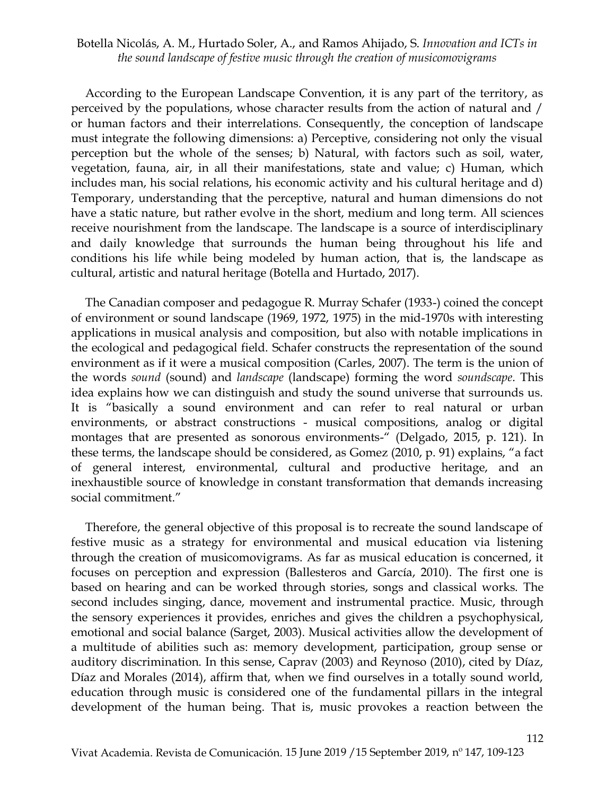According to the European Landscape Convention, it is any part of the territory, as perceived by the populations, whose character results from the action of natural and / or human factors and their interrelations. Consequently, the conception of landscape must integrate the following dimensions: a) Perceptive, considering not only the visual perception but the whole of the senses; b) Natural, with factors such as soil, water, vegetation, fauna, air, in all their manifestations, state and value; c) Human, which includes man, his social relations, his economic activity and his cultural heritage and d) Temporary, understanding that the perceptive, natural and human dimensions do not have a static nature, but rather evolve in the short, medium and long term. All sciences receive nourishment from the landscape. The landscape is a source of interdisciplinary and daily knowledge that surrounds the human being throughout his life and conditions his life while being modeled by human action, that is, the landscape as cultural, artistic and natural heritage (Botella and Hurtado, 2017).

The Canadian composer and pedagogue R. Murray Schafer (1933-) coined the concept of environment or sound landscape (1969, 1972, 1975) in the mid-1970s with interesting applications in musical analysis and composition, but also with notable implications in the ecological and pedagogical field. Schafer constructs the representation of the sound environment as if it were a musical composition (Carles, 2007). The term is the union of the words *sound* (sound) and *landscape* (landscape) forming the word *soundscape*. This idea explains how we can distinguish and study the sound universe that surrounds us. It is "basically a sound environment and can refer to real natural or urban environments, or abstract constructions - musical compositions, analog or digital montages that are presented as sonorous environments-" (Delgado, 2015, p. 121). In these terms, the landscape should be considered, as Gomez (2010, p. 91) explains, "a fact of general interest, environmental, cultural and productive heritage, and an inexhaustible source of knowledge in constant transformation that demands increasing social commitment."

Therefore, the general objective of this proposal is to recreate the sound landscape of festive music as a strategy for environmental and musical education via listening through the creation of musicomovigrams. As far as musical education is concerned, it focuses on perception and expression (Ballesteros and García, 2010). The first one is based on hearing and can be worked through stories, songs and classical works. The second includes singing, dance, movement and instrumental practice. Music, through the sensory experiences it provides, enriches and gives the children a psychophysical, emotional and social balance (Sarget, 2003). Musical activities allow the development of a multitude of abilities such as: memory development, participation, group sense or auditory discrimination. In this sense, Caprav (2003) and Reynoso (2010), cited by Díaz, Díaz and Morales (2014), affirm that, when we find ourselves in a totally sound world, education through music is considered one of the fundamental pillars in the integral development of the human being. That is, music provokes a reaction between the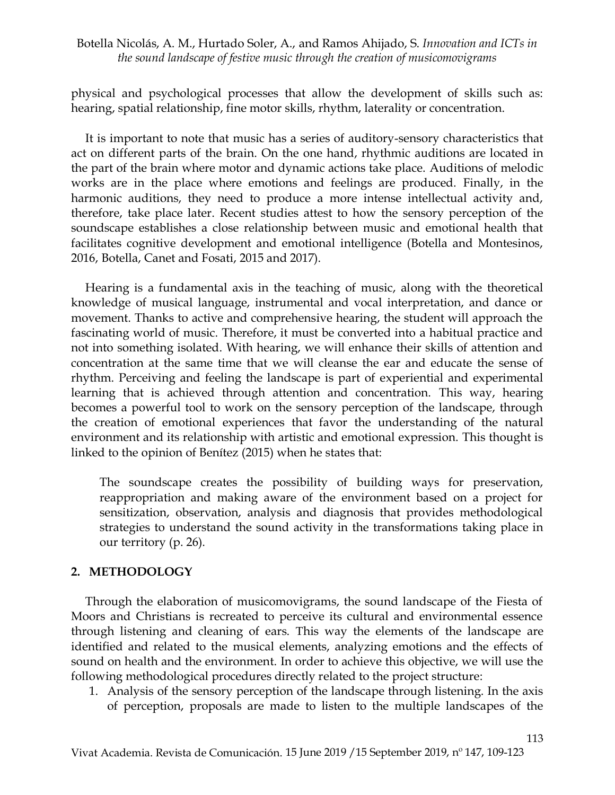physical and psychological processes that allow the development of skills such as: hearing, spatial relationship, fine motor skills, rhythm, laterality or concentration.

It is important to note that music has a series of auditory-sensory characteristics that act on different parts of the brain. On the one hand, rhythmic auditions are located in the part of the brain where motor and dynamic actions take place. Auditions of melodic works are in the place where emotions and feelings are produced. Finally, in the harmonic auditions, they need to produce a more intense intellectual activity and, therefore, take place later. Recent studies attest to how the sensory perception of the soundscape establishes a close relationship between music and emotional health that facilitates cognitive development and emotional intelligence (Botella and Montesinos, 2016, Botella, Canet and Fosati, 2015 and 2017).

Hearing is a fundamental axis in the teaching of music, along with the theoretical knowledge of musical language, instrumental and vocal interpretation, and dance or movement. Thanks to active and comprehensive hearing, the student will approach the fascinating world of music. Therefore, it must be converted into a habitual practice and not into something isolated. With hearing, we will enhance their skills of attention and concentration at the same time that we will cleanse the ear and educate the sense of rhythm. Perceiving and feeling the landscape is part of experiential and experimental learning that is achieved through attention and concentration. This way, hearing becomes a powerful tool to work on the sensory perception of the landscape, through the creation of emotional experiences that favor the understanding of the natural environment and its relationship with artistic and emotional expression. This thought is linked to the opinion of Benítez (2015) when he states that:

The soundscape creates the possibility of building ways for preservation, reappropriation and making aware of the environment based on a project for sensitization, observation, analysis and diagnosis that provides methodological strategies to understand the sound activity in the transformations taking place in our territory (p. 26).

## **2. METHODOLOGY**

Through the elaboration of musicomovigrams, the sound landscape of the Fiesta of Moors and Christians is recreated to perceive its cultural and environmental essence through listening and cleaning of ears. This way the elements of the landscape are identified and related to the musical elements, analyzing emotions and the effects of sound on health and the environment. In order to achieve this objective, we will use the following methodological procedures directly related to the project structure:

1. Analysis of the sensory perception of the landscape through listening. In the axis of perception, proposals are made to listen to the multiple landscapes of the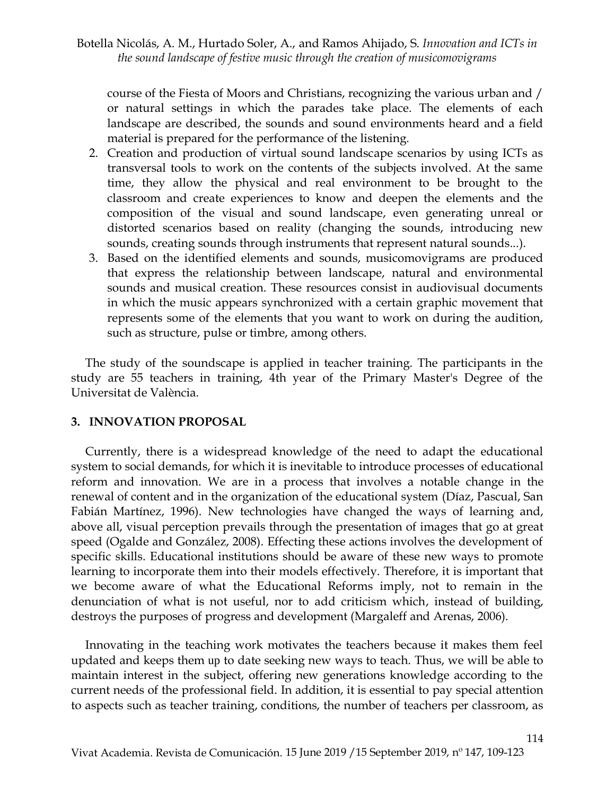course of the Fiesta of Moors and Christians, recognizing the various urban and / or natural settings in which the parades take place. The elements of each landscape are described, the sounds and sound environments heard and a field material is prepared for the performance of the listening.

- 2. Creation and production of virtual sound landscape scenarios by using ICTs as transversal tools to work on the contents of the subjects involved. At the same time, they allow the physical and real environment to be brought to the classroom and create experiences to know and deepen the elements and the composition of the visual and sound landscape, even generating unreal or distorted scenarios based on reality (changing the sounds, introducing new sounds, creating sounds through instruments that represent natural sounds...).
- 3. Based on the identified elements and sounds, musicomovigrams are produced that express the relationship between landscape, natural and environmental sounds and musical creation. These resources consist in audiovisual documents in which the music appears synchronized with a certain graphic movement that represents some of the elements that you want to work on during the audition, such as structure, pulse or timbre, among others.

The study of the soundscape is applied in teacher training. The participants in the study are 55 teachers in training, 4th year of the Primary Master's Degree of the Universitat de València.

#### **3. INNOVATION PROPOSAL**

Currently, there is a widespread knowledge of the need to adapt the educational system to social demands, for which it is inevitable to introduce processes of educational reform and innovation. We are in a process that involves a notable change in the renewal of content and in the organization of the educational system (Díaz, Pascual, San Fabián Martínez, 1996). New technologies have changed the ways of learning and, above all, visual perception prevails through the presentation of images that go at great speed (Ogalde and González, 2008). Effecting these actions involves the development of specific skills. Educational institutions should be aware of these new ways to promote learning to incorporate them into their models effectively. Therefore, it is important that we become aware of what the Educational Reforms imply, not to remain in the denunciation of what is not useful, nor to add criticism which, instead of building, destroys the purposes of progress and development (Margaleff and Arenas, 2006).

Innovating in the teaching work motivates the teachers because it makes them feel updated and keeps them up to date seeking new ways to teach. Thus, we will be able to maintain interest in the subject, offering new generations knowledge according to the current needs of the professional field. In addition, it is essential to pay special attention to aspects such as teacher training, conditions, the number of teachers per classroom, as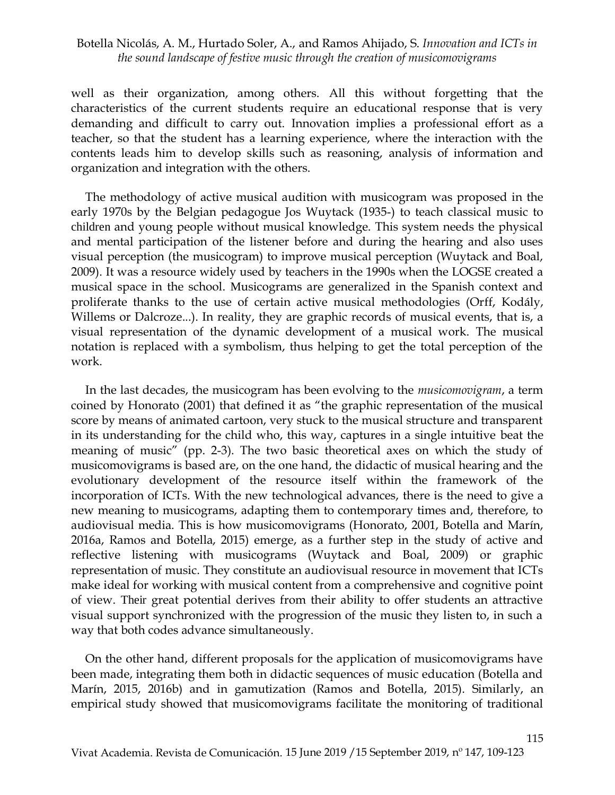well as their organization, among others. All this without forgetting that the characteristics of the current students require an educational response that is very demanding and difficult to carry out. Innovation implies a professional effort as a teacher, so that the student has a learning experience, where the interaction with the contents leads him to develop skills such as reasoning, analysis of information and organization and integration with the others.

The methodology of active musical audition with musicogram was proposed in the early 1970s by the Belgian pedagogue Jos Wuytack (1935-) to teach classical music to children and young people without musical knowledge. This system needs the physical and mental participation of the listener before and during the hearing and also uses visual perception (the musicogram) to improve musical perception (Wuytack and Boal, 2009). It was a resource widely used by teachers in the 1990s when the LOGSE created a musical space in the school. Musicograms are generalized in the Spanish context and proliferate thanks to the use of certain active musical methodologies (Orff, Kodály, Willems or Dalcroze...). In reality, they are graphic records of musical events, that is, a visual representation of the dynamic development of a musical work. The musical notation is replaced with a symbolism, thus helping to get the total perception of the work.

In the last decades, the musicogram has been evolving to the *musicomovigram*, a term coined by Honorato (2001) that defined it as "the graphic representation of the musical score by means of animated cartoon, very stuck to the musical structure and transparent in its understanding for the child who, this way, captures in a single intuitive beat the meaning of music" (pp. 2-3). The two basic theoretical axes on which the study of musicomovigrams is based are, on the one hand, the didactic of musical hearing and the evolutionary development of the resource itself within the framework of the incorporation of ICTs. With the new technological advances, there is the need to give a new meaning to musicograms, adapting them to contemporary times and, therefore, to audiovisual media. This is how musicomovigrams (Honorato, 2001, Botella and Marín, 2016a, Ramos and Botella, 2015) emerge, as a further step in the study of active and reflective listening with musicograms (Wuytack and Boal, 2009) or graphic representation of music. They constitute an audiovisual resource in movement that ICTs make ideal for working with musical content from a comprehensive and cognitive point of view. Their great potential derives from their ability to offer students an attractive visual support synchronized with the progression of the music they listen to, in such a way that both codes advance simultaneously.

On the other hand, different proposals for the application of musicomovigrams have been made, integrating them both in didactic sequences of music education (Botella and Marín, 2015, 2016b) and in gamutization (Ramos and Botella, 2015). Similarly, an empirical study showed that musicomovigrams facilitate the monitoring of traditional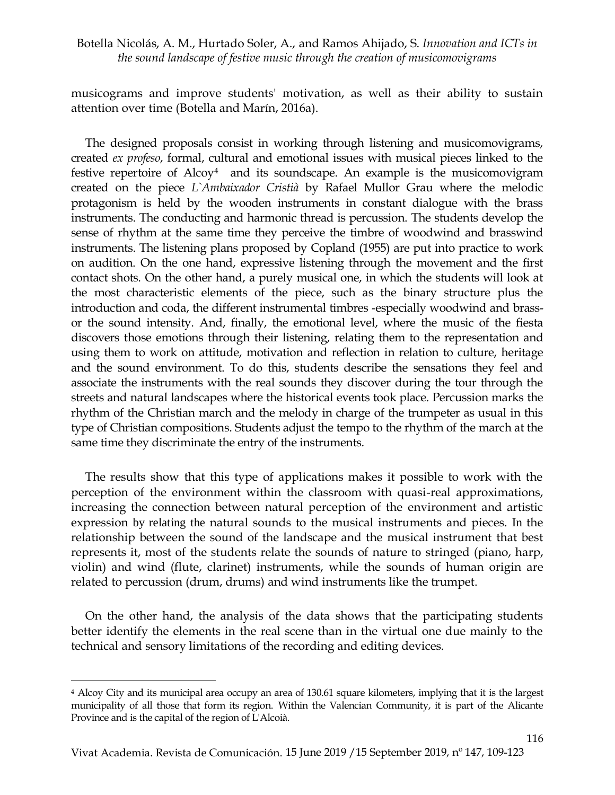musicograms and improve students' motivation, as well as their ability to sustain attention over time (Botella and Marín, 2016a).

The designed proposals consist in working through listening and musicomovigrams, created *ex profeso*, formal, cultural and emotional issues with musical pieces linked to the festive repertoire of Alcoy<sup>4</sup> and its soundscape. An example is the musicomovigram created on the piece *L`Ambaixador Cristià* by Rafael Mullor Grau where the melodic protagonism is held by the wooden instruments in constant dialogue with the brass instruments. The conducting and harmonic thread is percussion. The students develop the sense of rhythm at the same time they perceive the timbre of woodwind and brasswind instruments. The listening plans proposed by Copland (1955) are put into practice to work on audition. On the one hand, expressive listening through the movement and the first contact shots. On the other hand, a purely musical one, in which the students will look at the most characteristic elements of the piece, such as the binary structure plus the introduction and coda, the different instrumental timbres -especially woodwind and brassor the sound intensity. And, finally, the emotional level, where the music of the fiesta discovers those emotions through their listening, relating them to the representation and using them to work on attitude, motivation and reflection in relation to culture, heritage and the sound environment. To do this, students describe the sensations they feel and associate the instruments with the real sounds they discover during the tour through the streets and natural landscapes where the historical events took place. Percussion marks the rhythm of the Christian march and the melody in charge of the trumpeter as usual in this type of Christian compositions. Students adjust the tempo to the rhythm of the march at the same time they discriminate the entry of the instruments.

The results show that this type of applications makes it possible to work with the perception of the environment within the classroom with quasi-real approximations, increasing the connection between natural perception of the environment and artistic expression by relating the natural sounds to the musical instruments and pieces. In the relationship between the sound of the landscape and the musical instrument that best represents it, most of the students relate the sounds of nature to stringed (piano, harp, violin) and wind (flute, clarinet) instruments, while the sounds of human origin are related to percussion (drum, drums) and wind instruments like the trumpet.

On the other hand, the analysis of the data shows that the participating students better identify the elements in the real scene than in the virtual one due mainly to the technical and sensory limitations of the recording and editing devices.

 $\overline{a}$ 

<sup>4</sup> Alcoy City and its municipal area occupy an area of 130.61 square kilometers, implying that it is the largest municipality of all those that form its region. Within the Valencian Community, it is part of the Alicante Province and is the capital of the region of L'Alcoià.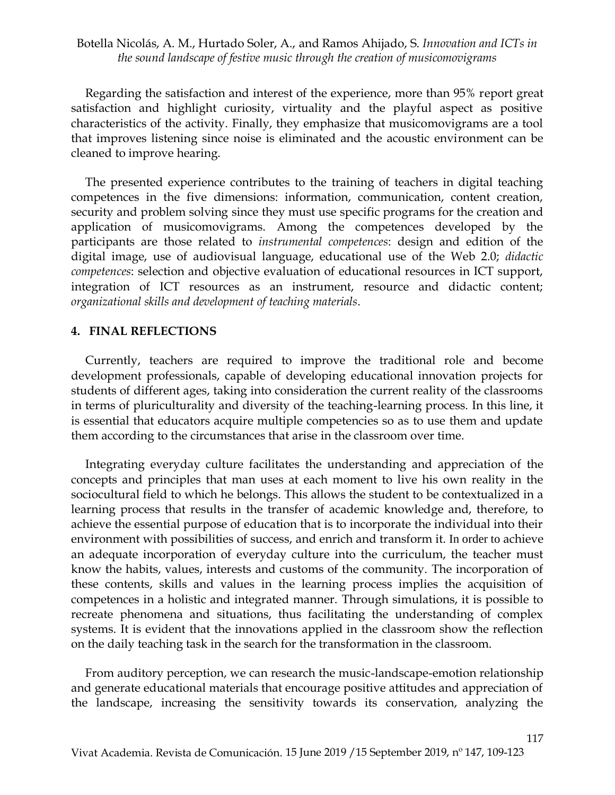Regarding the satisfaction and interest of the experience, more than 95% report great satisfaction and highlight curiosity, virtuality and the playful aspect as positive characteristics of the activity. Finally, they emphasize that musicomovigrams are a tool that improves listening since noise is eliminated and the acoustic environment can be cleaned to improve hearing.

The presented experience contributes to the training of teachers in digital teaching competences in the five dimensions: information, communication, content creation, security and problem solving since they must use specific programs for the creation and application of musicomovigrams. Among the competences developed by the participants are those related to *instrumental competences*: design and edition of the digital image, use of audiovisual language, educational use of the Web 2.0; *didactic competences*: selection and objective evaluation of educational resources in ICT support, integration of ICT resources as an instrument, resource and didactic content; *organizational skills and development of teaching materials*.

#### **4. FINAL REFLECTIONS**

Currently, teachers are required to improve the traditional role and become development professionals, capable of developing educational innovation projects for students of different ages, taking into consideration the current reality of the classrooms in terms of pluriculturality and diversity of the teaching-learning process. In this line, it is essential that educators acquire multiple competencies so as to use them and update them according to the circumstances that arise in the classroom over time.

Integrating everyday culture facilitates the understanding and appreciation of the concepts and principles that man uses at each moment to live his own reality in the sociocultural field to which he belongs. This allows the student to be contextualized in a learning process that results in the transfer of academic knowledge and, therefore, to achieve the essential purpose of education that is to incorporate the individual into their environment with possibilities of success, and enrich and transform it. In order to achieve an adequate incorporation of everyday culture into the curriculum, the teacher must know the habits, values, interests and customs of the community. The incorporation of these contents, skills and values in the learning process implies the acquisition of competences in a holistic and integrated manner. Through simulations, it is possible to recreate phenomena and situations, thus facilitating the understanding of complex systems. It is evident that the innovations applied in the classroom show the reflection on the daily teaching task in the search for the transformation in the classroom.

From auditory perception, we can research the music-landscape-emotion relationship and generate educational materials that encourage positive attitudes and appreciation of the landscape, increasing the sensitivity towards its conservation, analyzing the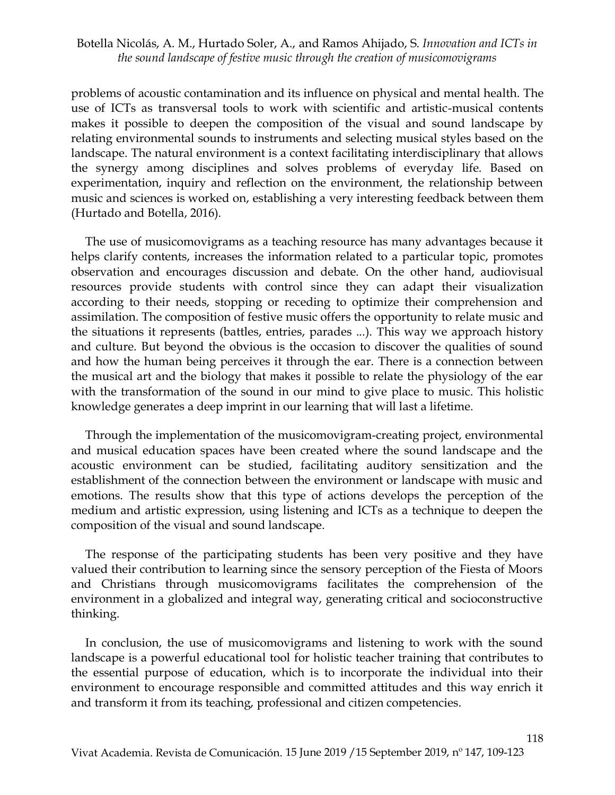problems of acoustic contamination and its influence on physical and mental health. The use of ICTs as transversal tools to work with scientific and artistic-musical contents makes it possible to deepen the composition of the visual and sound landscape by relating environmental sounds to instruments and selecting musical styles based on the landscape. The natural environment is a context facilitating interdisciplinary that allows the synergy among disciplines and solves problems of everyday life. Based on experimentation, inquiry and reflection on the environment, the relationship between music and sciences is worked on, establishing a very interesting feedback between them (Hurtado and Botella, 2016).

The use of musicomovigrams as a teaching resource has many advantages because it helps clarify contents, increases the information related to a particular topic, promotes observation and encourages discussion and debate. On the other hand, audiovisual resources provide students with control since they can adapt their visualization according to their needs, stopping or receding to optimize their comprehension and assimilation. The composition of festive music offers the opportunity to relate music and the situations it represents (battles, entries, parades ...). This way we approach history and culture. But beyond the obvious is the occasion to discover the qualities of sound and how the human being perceives it through the ear. There is a connection between the musical art and the biology that makes it possible to relate the physiology of the ear with the transformation of the sound in our mind to give place to music. This holistic knowledge generates a deep imprint in our learning that will last a lifetime.

Through the implementation of the musicomovigram-creating project, environmental and musical education spaces have been created where the sound landscape and the acoustic environment can be studied, facilitating auditory sensitization and the establishment of the connection between the environment or landscape with music and emotions. The results show that this type of actions develops the perception of the medium and artistic expression, using listening and ICTs as a technique to deepen the composition of the visual and sound landscape.

The response of the participating students has been very positive and they have valued their contribution to learning since the sensory perception of the Fiesta of Moors and Christians through musicomovigrams facilitates the comprehension of the environment in a globalized and integral way, generating critical and socioconstructive thinking.

In conclusion, the use of musicomovigrams and listening to work with the sound landscape is a powerful educational tool for holistic teacher training that contributes to the essential purpose of education, which is to incorporate the individual into their environment to encourage responsible and committed attitudes and this way enrich it and transform it from its teaching, professional and citizen competencies.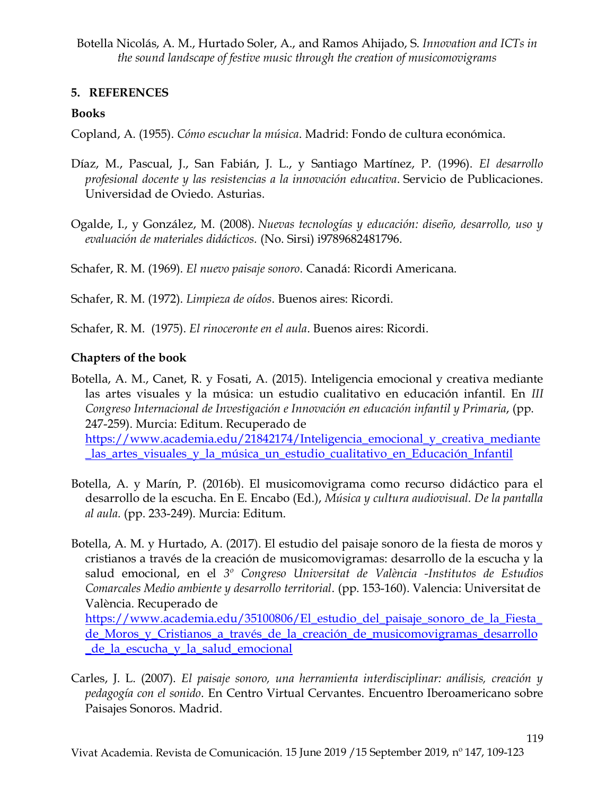## **5. REFERENCES**

## **Books**

Copland, A. (1955). *Cómo escuchar la música*. Madrid: Fondo de cultura económica.

- Díaz, M., Pascual, J., San Fabián, J. L., y Santiago Martínez, P. (1996). *El desarrollo profesional docente y las resistencias a la innovación educativa*. Servicio de Publicaciones. Universidad de Oviedo. Asturias.
- Ogalde, I., y González, M. (2008). *Nuevas tecnologías y educación: diseño, desarrollo, uso y evaluación de materiales didácticos.* (No. Sirsi) i9789682481796.

Schafer, R. M. (1969). *El nuevo paisaje sonoro*. Canadá: Ricordi Americana.

Schafer, R. M. (1972). *Limpieza de oídos*. Buenos aires: Ricordi.

Schafer, R. M. (1975). *El rinoceronte en el aula*. Buenos aires: Ricordi.

## **Chapters of the book**

- Botella, A. M., Canet, R. y Fosati, A. (2015). Inteligencia emocional y creativa mediante las artes visuales y la música: un estudio cualitativo en educación infantil. En *III Congreso Internacional de Investigación e Innovación en educación infantil y Primaria*, (pp. 247-259). Murcia: Editum. Recuperado de [https://www.academia.edu/21842174/Inteligencia\\_emocional\\_y\\_creativa\\_mediante](https://www.academia.edu/21842174/Inteligencia_emocional_y_creativa_mediante_las_artes_visuales_y_la_música_un_estudio_cualitativo_en_Educación_Infantil) [\\_las\\_artes\\_visuales\\_y\\_la\\_música\\_un\\_estudio\\_cualitativo\\_en\\_Educación\\_Infantil](https://www.academia.edu/21842174/Inteligencia_emocional_y_creativa_mediante_las_artes_visuales_y_la_música_un_estudio_cualitativo_en_Educación_Infantil)
- Botella, A. y Marín, P. (2016b). El musicomovigrama como recurso didáctico para el desarrollo de la escucha. En E. Encabo (Ed.), *Música y cultura audiovisual. De la pantalla al aula.* (pp. 233-249). Murcia: Editum.
- Botella, A. M. y Hurtado, A. (2017). El estudio del paisaje sonoro de la fiesta de moros y cristianos a través de la creación de musicomovigramas: desarrollo de la escucha y la salud emocional, en el *3º Congreso Universitat de València -Institutos de Estudios Comarcales Medio ambiente y desarrollo territorial*. (pp. 153-160). Valencia: Universitat de València. Recuperado de

[https://www.academia.edu/35100806/El\\_estudio\\_del\\_paisaje\\_sonoro\\_de\\_la\\_Fiesta\\_](https://www.academia.edu/35100806/El_estudio_del_paisaje_sonoro_de_la_Fiesta_de_Moros_y_Cristianos_a_través_de_la_creación_de_musicomovigramas_desarrollo_de_la_escucha_y_la_salud_emocional) [de\\_Moros\\_y\\_Cristianos\\_a\\_través\\_de\\_la\\_creación\\_de\\_musicomovigramas\\_desarrollo](https://www.academia.edu/35100806/El_estudio_del_paisaje_sonoro_de_la_Fiesta_de_Moros_y_Cristianos_a_través_de_la_creación_de_musicomovigramas_desarrollo_de_la_escucha_y_la_salud_emocional) de la escucha y la salud emocional

Carles, J. L. (2007). *El paisaje sonoro, una herramienta interdisciplinar: análisis, creación y pedagogía con el sonido*. En Centro Virtual Cervantes. Encuentro Iberoamericano sobre Paisajes Sonoros. Madrid.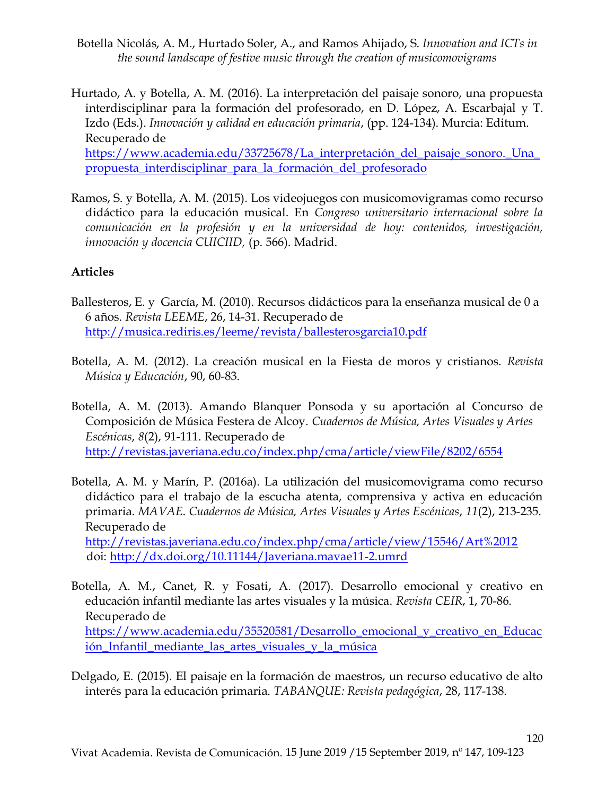- Botella Nicolás, A. M., Hurtado Soler, A., and Ramos Ahijado, S. *Innovation and ICTs in the sound landscape of festive music through the creation of musicomovigrams*
- Hurtado, A. y Botella, A. M. (2016). La interpretación del paisaje sonoro, una propuesta interdisciplinar para la formación del profesorado, en D. López, A. Escarbajal y T. Izdo (Eds.). *Innovación y calidad en educación primaria*, (pp. 124-134). Murcia: Editum. Recuperado de [https://www.academia.edu/33725678/La\\_interpretación\\_del\\_paisaje\\_sonoro.\\_Una\\_](https://www.academia.edu/33725678/La_interpretación_del_paisaje_sonoro._Una_propuesta_interdisciplinar_para_la_formación_del_profesorado) [propuesta\\_interdisciplinar\\_para\\_la\\_formación\\_del\\_profesorado](https://www.academia.edu/33725678/La_interpretación_del_paisaje_sonoro._Una_propuesta_interdisciplinar_para_la_formación_del_profesorado)
- Ramos, S. y Botella, A. M. (2015). Los videojuegos con musicomovigramas como recurso didáctico para la educación musical. En *Congreso universitario internacional sobre la comunicación en la profesión y en la universidad de hoy: contenidos, investigación, innovación y docencia CUICIID,* (p. 566). Madrid.

## **Articles**

- Ballesteros, E. y García, M. (2010). Recursos didácticos para la enseñanza musical de 0 a 6 años. *Revista LEEME*, 26, 14-31. Recuperado de <http://musica.rediris.es/leeme/revista/ballesterosgarcia10.pdf>
- Botella, A. M. (2012). La creación musical en la Fiesta de moros y cristianos. *Revista Música y Educación*, 90, 60-83.
- Botella, A. M. (2013). Amando Blanquer Ponsoda y su aportación al Concurso de Composición de Música Festera de Alcoy. *Cuadernos de Música, Artes Visuales y Artes Escénicas*, *8*(2), 91-111. Recuperado de <http://revistas.javeriana.edu.co/index.php/cma/article/viewFile/8202/6554>
- Botella, A. M. y Marín, P. (2016a). La utilización del musicomovigrama como recurso didáctico para el trabajo de la escucha atenta, comprensiva y activa en educación primaria. *MAVAE*. *Cuadernos de Música, Artes Visuales y Artes Escénicas*, *11*(2), 213-235. Recuperado de <http://revistas.javeriana.edu.co/index.php/cma/article/view/15546/Art%2012> doi:<http://dx.doi.org/10.11144/Javeriana.mavae11-2.umrd>
- Botella, A. M., Canet, R. y Fosati, A. (2017). Desarrollo emocional y creativo en educación infantil mediante las artes visuales y la música. *Revista CEIR*, 1, 70-86. Recuperado de [https://www.academia.edu/35520581/Desarrollo\\_emocional\\_y\\_creativo\\_en\\_Educac](https://www.academia.edu/35520581/Desarrollo_emocional_y_creativo_en_Educación_Infantil_mediante_las_artes_visuales_y_la_música) [ión\\_Infantil\\_mediante\\_las\\_artes\\_visuales\\_y\\_la\\_música](https://www.academia.edu/35520581/Desarrollo_emocional_y_creativo_en_Educación_Infantil_mediante_las_artes_visuales_y_la_música)
- Delgado, E. (2015). El paisaje en la formación de maestros, un recurso educativo de alto interés para la educación primaria. *TABANQUE: Revista pedagógica*, 28, 117-138.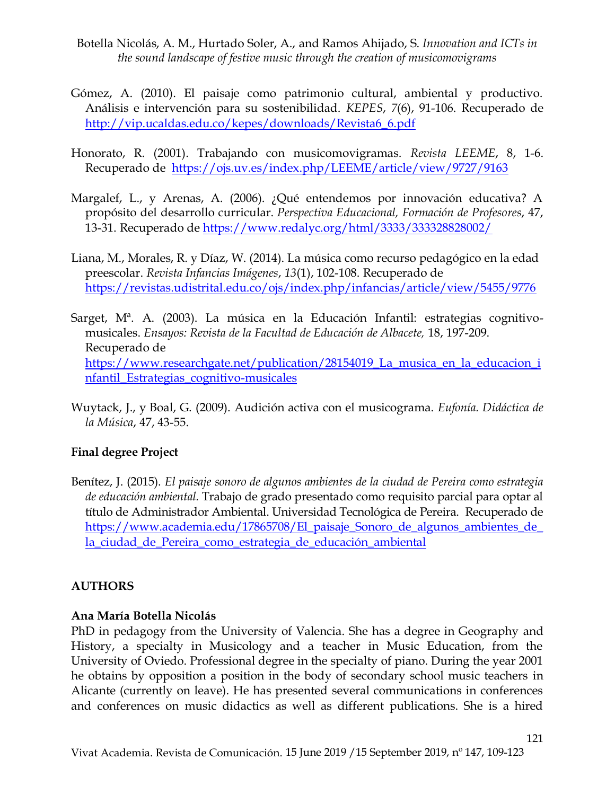- Botella Nicolás, A. M., Hurtado Soler, A., and Ramos Ahijado, S. *Innovation and ICTs in the sound landscape of festive music through the creation of musicomovigrams*
- Gómez, A. (2010). El paisaje como patrimonio cultural, ambiental y productivo. Análisis e intervención para su sostenibilidad. *KEPES*, *7*(6), 91-106. Recuperado de [http://vip.ucaldas.edu.co/kepes/downloads/Revista6\\_6.pdf](http://vip.ucaldas.edu.co/kepes/downloads/Revista6_6.pdf)
- Honorato, R. (2001). Trabajando con musicomovigramas. *Revista LEEME*, 8, 1-6. Recuperado de <https://ojs.uv.es/index.php/LEEME/article/view/9727/9163>
- Margalef, L., y Arenas, A. (2006). ¿Qué entendemos por innovación educativa? A propósito del desarrollo curricular. *Perspectiva Educacional, Formación de Profesores*, 47, 13-31. Recuperado de<https://www.redalyc.org/html/3333/333328828002/>
- Liana, M., Morales, R. y Díaz, W. (2014). La música como recurso pedagógico en la edad preescolar. *Revista Infancias Imágenes*, *13*(1), 102-108. Recuperado de <https://revistas.udistrital.edu.co/ojs/index.php/infancias/article/view/5455/9776>
- Sarget, Mª. A. (2003). La música en la Educación Infantil: estrategias cognitivomusicales. *Ensayos: Revista de la Facultad de Educación de Albacete,* 18, 197-209. Recuperado de [https://www.researchgate.net/publication/28154019\\_La\\_musica\\_en\\_la\\_educacion\\_i](https://www.researchgate.net/publication/28154019_La_musica_en_la_educacion_infantil_Estrategias_cognitivo-musicales) [nfantil\\_Estrategias\\_cognitivo-musicales](https://www.researchgate.net/publication/28154019_La_musica_en_la_educacion_infantil_Estrategias_cognitivo-musicales)
- Wuytack, J., y Boal, G. (2009). Audición activa con el musicograma. *Eufonía. Didáctica de la Música*, 47, 43-55.

# **Final degree Project**

Benítez, J. (2015). *El paisaje sonoro de algunos ambientes de la ciudad de Pereira como estrategia de educación ambiental.* Trabajo de grado presentado como requisito parcial para optar al título de Administrador Ambiental. Universidad Tecnológica de Pereira. Recuperado de https://www.academia.edu/17865708/El paisaje Sonoro de algunos ambientes de [la\\_ciudad\\_de\\_Pereira\\_como\\_estrategia\\_de\\_educación\\_ambiental](https://www.academia.edu/17865708/El_paisaje_Sonoro_de_algunos_ambientes_de_la_ciudad_de_Pereira_como_estrategia_de_educación_ambiental)

# **AUTHORS**

## **Ana María Botella Nicolás**

PhD in pedagogy from the University of Valencia. She has a degree in Geography and History, a specialty in Musicology and a teacher in Music Education, from the University of Oviedo. Professional degree in the specialty of piano. During the year 2001 he obtains by opposition a position in the body of secondary school music teachers in Alicante (currently on leave). He has presented several communications in conferences and conferences on music didactics as well as different publications. She is a hired